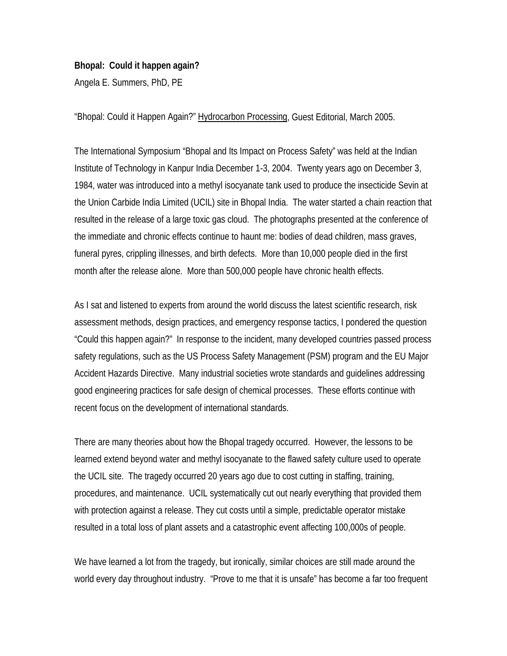## **Bhopal: Could it happen again?**

Angela E. Summers, PhD, PE

"Bhopal: Could it Happen Again?" Hydrocarbon Processing, Guest Editorial, March 2005.

The International Symposium "Bhopal and Its Impact on Process Safety" was held at the Indian Institute of Technology in Kanpur India December 1-3, 2004. Twenty years ago on December 3, 1984, water was introduced into a methyl isocyanate tank used to produce the insecticide Sevin at the Union Carbide India Limited (UCIL) site in Bhopal India. The water started a chain reaction that resulted in the release of a large toxic gas cloud. The photographs presented at the conference of the immediate and chronic effects continue to haunt me: bodies of dead children, mass graves, funeral pyres, crippling illnesses, and birth defects. More than 10,000 people died in the first month after the release alone. More than 500,000 people have chronic health effects.

As I sat and listened to experts from around the world discuss the latest scientific research, risk assessment methods, design practices, and emergency response tactics, I pondered the question "Could this happen again?" In response to the incident, many developed countries passed process safety regulations, such as the US Process Safety Management (PSM) program and the EU Major Accident Hazards Directive. Many industrial societies wrote standards and guidelines addressing good engineering practices for safe design of chemical processes. These efforts continue with recent focus on the development of international standards.

There are many theories about how the Bhopal tragedy occurred. However, the lessons to be learned extend beyond water and methyl isocyanate to the flawed safety culture used to operate the UCIL site. The tragedy occurred 20 years ago due to cost cutting in staffing, training, procedures, and maintenance. UCIL systematically cut out nearly everything that provided them with protection against a release. They cut costs until a simple, predictable operator mistake resulted in a total loss of plant assets and a catastrophic event affecting 100,000s of people.

We have learned a lot from the tragedy, but ironically, similar choices are still made around the world every day throughout industry. "Prove to me that it is unsafe" has become a far too frequent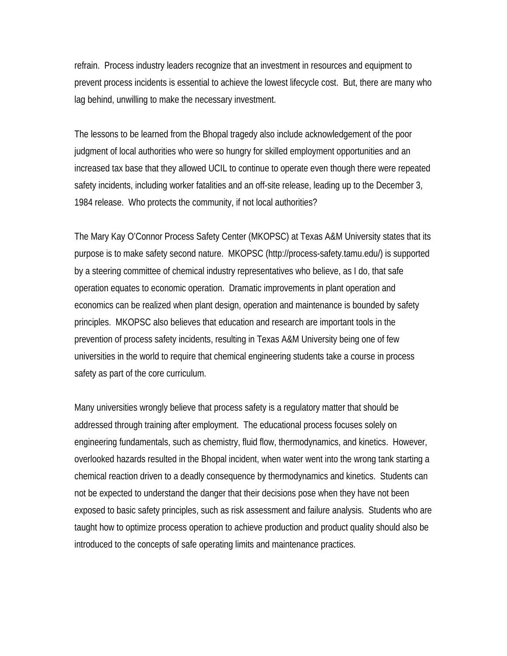refrain. Process industry leaders recognize that an investment in resources and equipment to prevent process incidents is essential to achieve the lowest lifecycle cost. But, there are many who lag behind, unwilling to make the necessary investment.

The lessons to be learned from the Bhopal tragedy also include acknowledgement of the poor judgment of local authorities who were so hungry for skilled employment opportunities and an increased tax base that they allowed UCIL to continue to operate even though there were repeated safety incidents, including worker fatalities and an off-site release, leading up to the December 3, 1984 release. Who protects the community, if not local authorities?

The Mary Kay O'Connor Process Safety Center (MKOPSC) at Texas A&M University states that its purpose is to make safety second nature. MKOPSC (http://process-safety.tamu.edu/) is supported by a steering committee of chemical industry representatives who believe, as I do, that safe operation equates to economic operation. Dramatic improvements in plant operation and economics can be realized when plant design, operation and maintenance is bounded by safety principles. MKOPSC also believes that education and research are important tools in the prevention of process safety incidents, resulting in Texas A&M University being one of few universities in the world to require that chemical engineering students take a course in process safety as part of the core curriculum.

Many universities wrongly believe that process safety is a regulatory matter that should be addressed through training after employment. The educational process focuses solely on engineering fundamentals, such as chemistry, fluid flow, thermodynamics, and kinetics. However, overlooked hazards resulted in the Bhopal incident, when water went into the wrong tank starting a chemical reaction driven to a deadly consequence by thermodynamics and kinetics. Students can not be expected to understand the danger that their decisions pose when they have not been exposed to basic safety principles, such as risk assessment and failure analysis. Students who are taught how to optimize process operation to achieve production and product quality should also be introduced to the concepts of safe operating limits and maintenance practices.